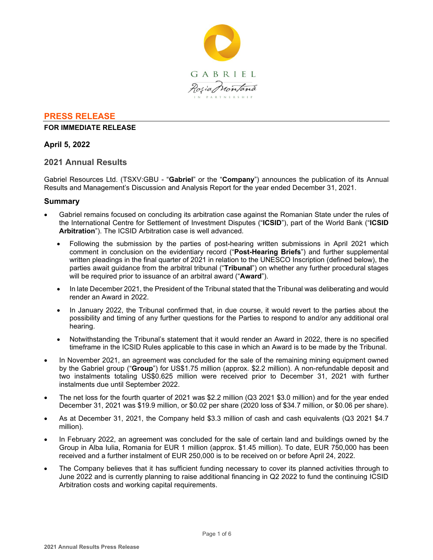

### **PRESS RELEASE**

#### **FOR IMMEDIATE RELEASE**

## **April 5, 2022**

## **2021 Annual Results**

Gabriel Resources Ltd. (TSXV:GBU - "**Gabriel**" or the "**Company**") announces the publication of its Annual Results and Management's Discussion and Analysis Report for the year ended December 31, 2021.

### **Summary**

- Gabriel remains focused on concluding its arbitration case against the Romanian State under the rules of the International Centre for Settlement of Investment Disputes ("**ICSID**"), part of the World Bank ("**ICSID Arbitration**"). The ICSID Arbitration case is well advanced.
	- Following the submission by the parties of post-hearing written submissions in April 2021 which comment in conclusion on the evidentiary record ("**Post-Hearing Briefs**") and further supplemental written pleadings in the final quarter of 2021 in relation to the UNESCO Inscription (defined below), the parties await guidance from the arbitral tribunal ("**Tribunal**") on whether any further procedural stages will be required prior to issuance of an arbitral award ("**Award**").
	- In late December 2021, the President of the Tribunal stated that the Tribunal was deliberating and would render an Award in 2022.
	- In January 2022, the Tribunal confirmed that, in due course, it would revert to the parties about the possibility and timing of any further questions for the Parties to respond to and/or any additional oral hearing.
	- Notwithstanding the Tribunal's statement that it would render an Award in 2022, there is no specified timeframe in the ICSID Rules applicable to this case in which an Award is to be made by the Tribunal.
- In November 2021, an agreement was concluded for the sale of the remaining mining equipment owned by the Gabriel group ("**Group**") for US\$1.75 million (approx. \$2.2 million). A non-refundable deposit and two instalments totaling US\$0.625 million were received prior to December 31, 2021 with further instalments due until September 2022.
- The net loss for the fourth quarter of 2021 was \$2.2 million (Q3 2021 \$3.0 million) and for the year ended December 31, 2021 was \$19.9 million, or \$0.02 per share (2020 loss of \$34.7 million, or \$0.06 per share).
- As at December 31, 2021, the Company held \$3.3 million of cash and cash equivalents (Q3 2021 \$4.7 million).
- In February 2022, an agreement was concluded for the sale of certain land and buildings owned by the Group in Alba Iulia, Romania for EUR 1 million (approx. \$1.45 million). To date, EUR 750,000 has been received and a further instalment of EUR 250,000 is to be received on or before April 24, 2022.
- The Company believes that it has sufficient funding necessary to cover its planned activities through to June 2022 and is currently planning to raise additional financing in Q2 2022 to fund the continuing ICSID Arbitration costs and working capital requirements.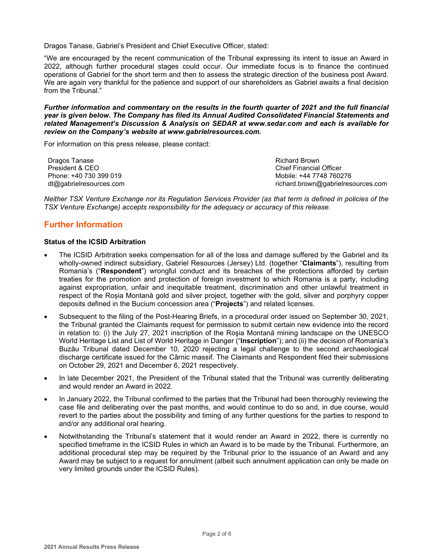Dragos Tanase, Gabriel's President and Chief Executive Officer, stated:

"We are encouraged by the recent communication of the Tribunal expressing its intent to issue an Award in 2022, although further procedural stages could occur. Our immediate focus is to finance the continued operations of Gabriel for the short term and then to assess the strategic direction of the business post Award. We are again very thankful for the patience and support of our shareholders as Gabriel awaits a final decision from the Tribunal."

*Further information and commentary on the results in the fourth quarter of 2021 and the full financial year is given below. The Company has filed its Annual Audited Consolidated Financial Statements and related Management's Discussion & Analysis on SEDAR at www.sedar.com and each is available for review on the Company's website at www.gabrielresources.com.* 

For information on this press release, please contact:

Dragos Tanase President & CEO Phone: +40 730 399 019 dt@gabrielresources.com Richard Brown Chief Financial Officer Mobile: +44 7748 760276 richard.brown@gabrielresources.com

*Neither TSX Venture Exchange nor its Regulation Services Provider (as that term is defined in policies of the TSX Venture Exchange) accepts responsibility for the adequacy or accuracy of this release.*

# **Further Information**

#### **Status of the ICSID Arbitration**

- The ICSID Arbitration seeks compensation for all of the loss and damage suffered by the Gabriel and its wholly-owned indirect subsidiary, Gabriel Resources (Jersey) Ltd. (together "**Claimants**"), resulting from Romania's ("**Respondent**") wrongful conduct and its breaches of the protections afforded by certain treaties for the promotion and protection of foreign investment to which Romania is a party, including against expropriation, unfair and inequitable treatment, discrimination and other unlawful treatment in respect of the Roșia Montană gold and silver project, together with the gold, silver and porphyry copper deposits defined in the Bucium concession area ("**Projects**") and related licenses.
- Subsequent to the filing of the Post-Hearing Briefs, in a procedural order issued on September 30, 2021, the Tribunal granted the Claimants request for permission to submit certain new evidence into the record in relation to: (i) the July 27, 2021 inscription of the Roşia Montană mining landscape on the UNESCO World Heritage List and List of World Heritage in Danger ("**Inscription**"); and (ii) the decision of Romania's Buzău Tribunal dated December 10, 2020 rejecting a legal challenge to the second archaeological discharge certificate issued for the Cârnic massif. The Claimants and Respondent filed their submissions on October 29, 2021 and December 6, 2021 respectively.
- In late December 2021, the President of the Tribunal stated that the Tribunal was currently deliberating and would render an Award in 2022.
- In January 2022, the Tribunal confirmed to the parties that the Tribunal had been thoroughly reviewing the case file and deliberating over the past months, and would continue to do so and, in due course, would revert to the parties about the possibility and timing of any further questions for the parties to respond to and/or any additional oral hearing.
- Notwithstanding the Tribunal's statement that it would render an Award in 2022, there is currently no specified timeframe in the ICSID Rules in which an Award is to be made by the Tribunal. Furthermore, an additional procedural step may be required by the Tribunal prior to the issuance of an Award and any Award may be subject to a request for annulment (albeit such annulment application can only be made on very limited grounds under the ICSID Rules).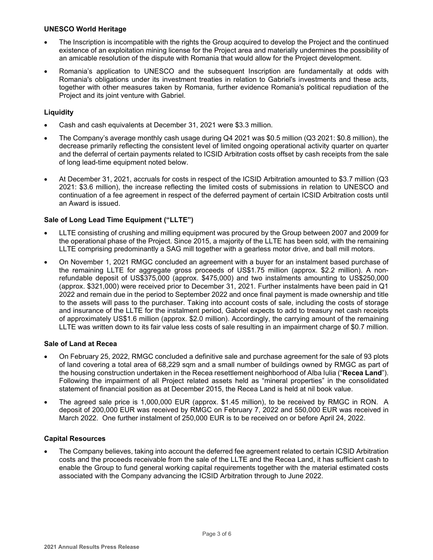### **UNESCO World Heritage**

- The Inscription is incompatible with the rights the Group acquired to develop the Project and the continued existence of an exploitation mining license for the Project area and materially undermines the possibility of an amicable resolution of the dispute with Romania that would allow for the Project development.
- Romania's application to UNESCO and the subsequent Inscription are fundamentally at odds with Romania's obligations under its investment treaties in relation to Gabriel's investments and these acts, together with other measures taken by Romania, further evidence Romania's political repudiation of the Project and its joint venture with Gabriel.

## **Liquidity**

- Cash and cash equivalents at December 31, 2021 were \$3.3 million.
- The Company's average monthly cash usage during Q4 2021 was \$0.5 million (Q3 2021: \$0.8 million), the decrease primarily reflecting the consistent level of limited ongoing operational activity quarter on quarter and the deferral of certain payments related to ICSID Arbitration costs offset by cash receipts from the sale of long lead-time equipment noted below.
- At December 31, 2021, accruals for costs in respect of the ICSID Arbitration amounted to \$3.7 million (Q3 2021: \$3.6 million), the increase reflecting the limited costs of submissions in relation to UNESCO and continuation of a fee agreement in respect of the deferred payment of certain ICSID Arbitration costs until an Award is issued.

## **Sale of Long Lead Time Equipment ("LLTE")**

- LLTE consisting of crushing and milling equipment was procured by the Group between 2007 and 2009 for the operational phase of the Project. Since 2015, a majority of the LLTE has been sold, with the remaining LLTE comprising predominantly a SAG mill together with a gearless motor drive, and ball mill motors.
- On November 1, 2021 RMGC concluded an agreement with a buyer for an instalment based purchase of the remaining LLTE for aggregate gross proceeds of US\$1.75 million (approx. \$2.2 million). A nonrefundable deposit of US\$375,000 (approx. \$475,000) and two instalments amounting to US\$250,000 (approx. \$321,000) were received prior to December 31, 2021. Further instalments have been paid in Q1 2022 and remain due in the period to September 2022 and once final payment is made ownership and title to the assets will pass to the purchaser. Taking into account costs of sale, including the costs of storage and insurance of the LLTE for the instalment period, Gabriel expects to add to treasury net cash receipts of approximately US\$1.6 million (approx. \$2.0 million). Accordingly, the carrying amount of the remaining LLTE was written down to its fair value less costs of sale resulting in an impairment charge of \$0.7 million.

## **Sale of Land at Recea**

- On February 25, 2022, RMGC concluded a definitive sale and purchase agreement for the sale of 93 plots of land covering a total area of 68,229 sqm and a small number of buildings owned by RMGC as part of the housing construction undertaken in the Recea resettlement neighborhood of Alba Iulia ("**Recea Land**"). Following the impairment of all Project related assets held as "mineral properties" in the consolidated statement of financial position as at December 2015, the Recea Land is held at nil book value.
- The agreed sale price is 1,000,000 EUR (approx. \$1.45 million), to be received by RMGC in RON. A deposit of 200,000 EUR was received by RMGC on February 7, 2022 and 550,000 EUR was received in March 2022. One further instalment of 250,000 EUR is to be received on or before April 24, 2022.

## **Capital Resources**

• The Company believes, taking into account the deferred fee agreement related to certain ICSID Arbitration costs and the proceeds receivable from the sale of the LLTE and the Recea Land, it has sufficient cash to enable the Group to fund general working capital requirements together with the material estimated costs associated with the Company advancing the ICSID Arbitration through to June 2022.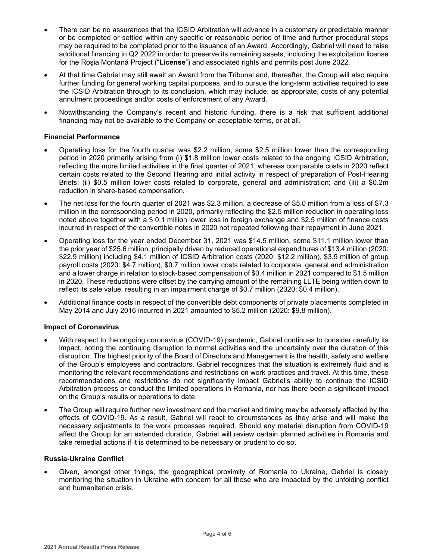- There can be no assurances that the ICSID Arbitration will advance in a customary or predictable manner or be completed or settled within any specific or reasonable period of time and further procedural steps may be required to be completed prior to the issuance of an Award. Accordingly, Gabriel will need to raise additional financing in Q2 2022 in order to preserve its remaining assets, including the exploitation license for the Roşia Montană Project ("**License**") and associated rights and permits post June 2022.
- At that time Gabriel may still await an Award from the Tribunal and, thereafter, the Group will also require further funding for general working capital purposes, and to pursue the long-term activities required to see the ICSID Arbitration through to its conclusion, which may include, as appropriate, costs of any potential annulment proceedings and/or costs of enforcement of any Award.
- Notwithstanding the Company's recent and historic funding, there is a risk that sufficient additional financing may not be available to the Company on acceptable terms, or at all.

#### **Financial Performance**

- Operating loss for the fourth quarter was \$2.2 million, some \$2.5 million lower than the corresponding period in 2020 primarily arising from (i) \$1.8 million lower costs related to the ongoing ICSID Arbitration, reflecting the more limited activities in the final quarter of 2021, whereas comparable costs in 2020 reflect certain costs related to the Second Hearing and initial activity in respect of preparation of Post-Hearing Briefs; (ii) \$0.5 million lower costs related to corporate, general and administration; and (iii) a \$0.2m reduction in share-based compensation.
- The net loss for the fourth quarter of 2021 was \$2.3 million, a decrease of \$5.0 million from a loss of \$7.3 million in the corresponding period in 2020, primarily reflecting the \$2.5 million reduction in operating loss noted above together with a \$ 0.1 million lower loss in foreign exchange and \$2.5 million of finance costs incurred in respect of the convertible notes in 2020 not repeated following their repayment in June 2021.
- Operating loss for the year ended December 31, 2021 was \$14.5 million, some \$11.1 million lower than the prior year of \$25.6 million, principally driven by reduced operational expenditures of \$13.4 million (2020: \$22.9 million) including \$4.1 million of ICSID Arbitration costs (2020: \$12.2 million), \$3.9 million of group payroll costs (2020: \$4.7 million), \$0.7 million lower costs related to corporate, general and administration and a lower charge in relation to stock-based compensation of \$0.4 million in 2021 compared to \$1.5 million in 2020. These reductions were offset by the carrying amount of the remaining LLTE being written down to reflect its sale value, resulting in an impairment charge of \$0.7 million (2020: \$0.4 million).
- Additional finance costs in respect of the convertible debt components of private placements completed in May 2014 and July 2016 incurred in 2021 amounted to \$5.2 million (2020: \$9.8 million).

#### **Impact of Coronavirus**

- With respect to the ongoing coronavirus (COVID-19) pandemic, Gabriel continues to consider carefully its impact, noting the continuing disruption to normal activities and the uncertainty over the duration of this disruption. The highest priority of the Board of Directors and Management is the health, safety and welfare of the Group's employees and contractors. Gabriel recognizes that the situation is extremely fluid and is monitoring the relevant recommendations and restrictions on work practices and travel. At this time, these recommendations and restrictions do not significantly impact Gabriel's ability to continue the ICSID Arbitration process or conduct the limited operations in Romania, nor has there been a significant impact on the Group's results or operations to date.
- The Group will require further new investment and the market and timing may be adversely affected by the effects of COVID-19. As a result, Gabriel will react to circumstances as they arise and will make the necessary adjustments to the work processes required. Should any material disruption from COVID-19 affect the Group for an extended duration, Gabriel will review certain planned activities in Romania and take remedial actions if it is determined to be necessary or prudent to do so.

#### **Russia-Ukraine Conflict**

• Given, amongst other things, the geographical proximity of Romania to Ukraine, Gabriel is closely monitoring the situation in Ukraine with concern for all those who are impacted by the unfolding conflict and humanitarian crisis.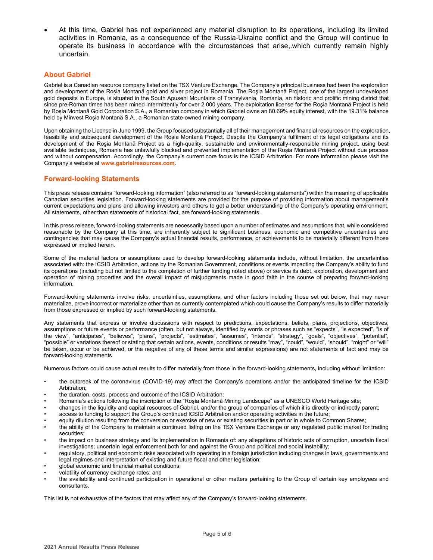• At this time, Gabriel has not experienced any material disruption to its operations, including its limited activities in Romania, as a consequence of the Russia-Ukraine conflict and the Group will continue to operate its business in accordance with the circumstances that arise,.which currently remain highly uncertain.

#### **About Gabriel**

Gabriel is a Canadian resource company listed on the TSX Venture Exchange. The Company's principal business had been the exploration and development of the Roșia Montană gold and silver project in Romania. The Roşia Montană Project, one of the largest undeveloped gold deposits in Europe, is situated in the South Apuseni Mountains of Transylvania, Romania, an historic and prolific mining district that since pre-Roman times has been mined intermittently for over 2,000 years. The exploitation license for the Roşia Montană Project is held by Roșia Montană Gold Corporation S.A., a Romanian company in which Gabriel owns an 80.69% equity interest, with the 19.31% balance held by Minvest Roșia Montană S.A., a Romanian state-owned mining company.

Upon obtaining the License in June 1999, the Group focused substantially all of their management and financial resources on the exploration, feasibility and subsequent development of the Roşia Montană Project. Despite the Company's fulfilment of its legal obligations and its development of the Roşia Montană Project as a high-quality, sustainable and environmentally-responsible mining project, using best available techniques, Romania has unlawfully blocked and prevented implementation of the Roşia Montană Project without due process and without compensation. Accordingly, the Company's current core focus is the ICSID Arbitration. For more information please visit the Company's website at **www.gabrielresources.com**.

#### **Forward-looking Statements**

This press release contains "forward-looking information" (also referred to as "forward-looking statements") within the meaning of applicable Canadian securities legislation. Forward-looking statements are provided for the purpose of providing information about management's current expectations and plans and allowing investors and others to get a better understanding of the Company's operating environment. All statements, other than statements of historical fact, are forward-looking statements.

In this press release, forward-looking statements are necessarily based upon a number of estimates and assumptions that, while considered reasonable by the Company at this time, are inherently subject to significant business, economic and competitive uncertainties and contingencies that may cause the Company's actual financial results, performance, or achievements to be materially different from those expressed or implied herein.

Some of the material factors or assumptions used to develop forward-looking statements include, without limitation, the uncertainties associated with: the ICSID Arbitration, actions by the Romanian Government, conditions or events impacting the Company's ability to fund its operations (including but not limited to the completion of further funding noted above) or service its debt, exploration, development and operation of mining properties and the overall impact of misjudgments made in good faith in the course of preparing forward-looking information.

Forward-looking statements involve risks, uncertainties, assumptions, and other factors including those set out below, that may never materialize, prove incorrect or materialize other than as currently contemplated which could cause the Company's results to differ materially from those expressed or implied by such forward-looking statements.

Any statements that express or involve discussions with respect to predictions, expectations, beliefs, plans, projections, objectives, assumptions or future events or performance (often, but not always, identified by words or phrases such as "expects", "is expected", "is of the view", "anticipates", "believes", "plans", "projects", "estimates", "assumes", "intends", "strategy", "goals", "objectives", "potential", "possible" or variations thereof or stating that certain actions, events, conditions or results "may", "could", "would", "should", "might" or "will" be taken, occur or be achieved, or the negative of any of these terms and similar expressions) are not statements of fact and may be forward-looking statements.

Numerous factors could cause actual results to differ materially from those in the forward-looking statements, including without limitation:

- the outbreak of the coronavirus (COVID‐19) may affect the Company's operations and/or the anticipated timeline for the ICSID Arbitration;
- the duration, costs, process and outcome of the ICSID Arbitration;
- Romania's actions following the inscription of the "Roşia Montană Mining Landscape" as a UNESCO World Heritage site;
- changes in the liquidity and capital resources of Gabriel, and/or the group of companies of which it is directly or indirectly parent;
- access to funding to support the Group's continued ICSID Arbitration and/or operating activities in the future;
- equity dilution resulting from the conversion or exercise of new or existing securities in part or in whole to Common Shares;
- the ability of the Company to maintain a continued listing on the TSX Venture Exchange or any regulated public market for trading securities;
- the impact on business strategy and its implementation in Romania of: any allegations of historic acts of corruption, uncertain fiscal investigations; uncertain legal enforcement both for and against the Group and political and social instability;
- regulatory, political and economic risks associated with operating in a foreign jurisdiction including changes in laws, governments and legal regimes and interpretation of existing and future fiscal and other legislation;
- global economic and financial market conditions;
- volatility of currency exchange rates; and
- the availability and continued participation in operational or other matters pertaining to the Group of certain key employees and consultants.

This list is not exhaustive of the factors that may affect any of the Company's forward-looking statements.